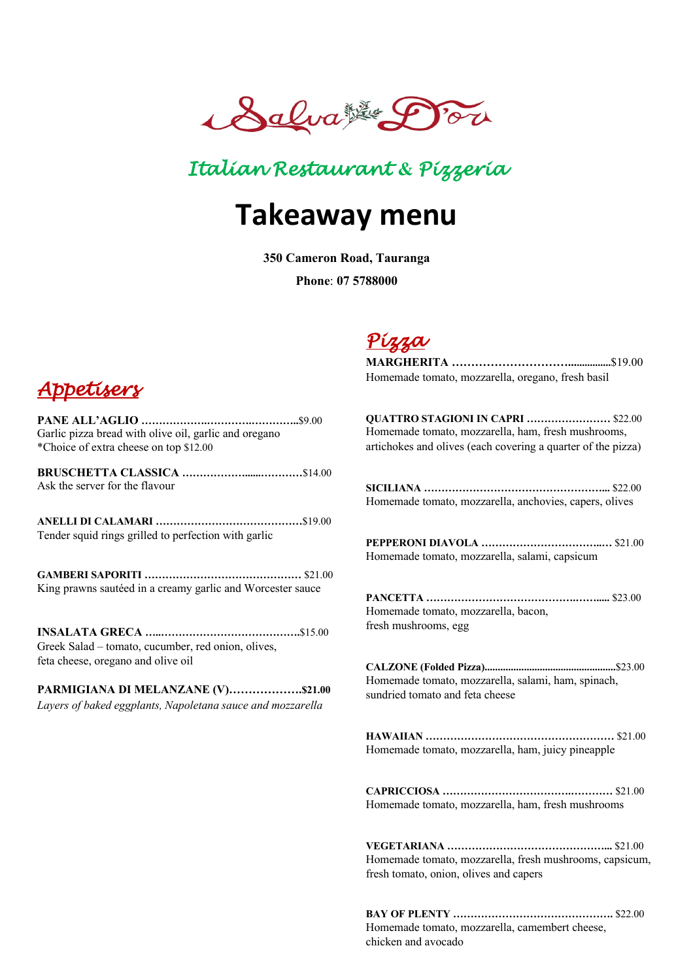

## *Italian Restaurant* **&** *Pizzeria*

# **Takeaway menu**

**350 Cameron Road, Tauranga**

**Phone**: **07 5788000**



**PANE ALL'AGLIO ……………….………….…………..**\$9.00 Garlic pizza bread with olive oil, garlic and oregano \*Choice of extra cheese on top \$12.00

**BRUSCHETTA CLASSICA ………………......…………**\$14.00 Ask the server for the flavour

**ANELLI DI CALAMARI ……………………………………**\$19.00 Tender squid rings grilled to perfection with garlic

**GAMBERI SAPORITI ………………………………………** \$21.00 King prawns sautéed in a creamy garlic and Worcester sauce

**INSALATA GRECA …..………………………………….**\$15.00 Greek Salad – tomato, cucumber, red onion, olives, feta cheese, oregano and olive oil

**PARMIGIANA DI MELANZANE (V)……………….\$21.00** *Layers of baked eggplants, Napoletana sauce and mozzarella*

## *Pizza*

**MARGHERITA …………………………................**\$19.00 Homemade tomato, mozzarella, oregano, fresh basil

**QUATTRO STAGIONI IN CAPRI ……………………** \$22.00 Homemade tomato, mozzarella, ham, fresh mushrooms, artichokes and olives (each covering a quarter of the pizza)

**SICILIANA ……………………………………………...** \$22.00 Homemade tomato, mozzarella, anchovies, capers, olives

**PEPPERONI DIAVOLA ……………………………..…** \$21.00 Homemade tomato, mozzarella, salami, capsicum

**PANCETTA …………………………………….…….....** \$23.00 Homemade tomato, mozzarella, bacon, fresh mushrooms, egg

**CALZONE (Folded Pizza)..................................................**\$23.00 Homemade tomato, mozzarella, salami, ham, spinach, sundried tomato and feta cheese

**HAWAIIAN ………………………………………………** \$21.00 Homemade tomato, mozzarella, ham, juicy pineapple

**CAPRICCIOSA ……………………………….…………** \$21.00 Homemade tomato, mozzarella, ham, fresh mushrooms

**VEGETARIANA ………………………………………...** \$21.00 Homemade tomato, mozzarella, fresh mushrooms, capsicum, fresh tomato, onion, olives and capers

**BAY OF PLENTY ……………………………………….** \$22.00 Homemade tomato, mozzarella, camembert cheese, chicken and avocado